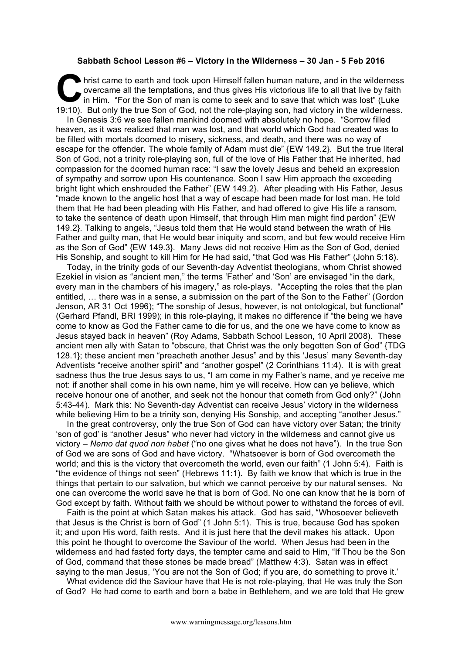## **Sabbath School Lesson #6 – Victory in the Wilderness – 30 Jan - 5 Feb 2016**

hrist came to earth and took upon Himself fallen human nature, and in the wilderness overcame all the temptations, and thus gives His victorious life to all that live by faith in Him. "For the Son of man is come to seek and to save that which was lost" (Luke 19:10). But only the true Son of God, not the role-playing son, had victory in the wilderness. **C bris**<br>over  $\overline{\mathbf{C}}$  **brist** 

In Genesis 3:6 we see fallen mankind doomed with absolutely no hope. "Sorrow filled heaven, as it was realized that man was lost, and that world which God had created was to be filled with mortals doomed to misery, sickness, and death, and there was no way of escape for the offender. The whole family of Adam must die" {EW 149.2}. But the true literal Son of God, not a trinity role-playing son, full of the love of His Father that He inherited, had compassion for the doomed human race: "I saw the lovely Jesus and beheld an expression of sympathy and sorrow upon His countenance. Soon I saw Him approach the exceeding bright light which enshrouded the Father" {EW 149.2}. After pleading with His Father, Jesus "made known to the angelic host that a way of escape had been made for lost man. He told them that He had been pleading with His Father, and had offered to give His life a ransom, to take the sentence of death upon Himself, that through Him man might find pardon" {EW 149.2}. Talking to angels, "Jesus told them that He would stand between the wrath of His Father and guilty man, that He would bear iniquity and scorn, and but few would receive Him as the Son of God" {EW 149.3}. Many Jews did not receive Him as the Son of God, denied His Sonship, and sought to kill Him for He had said, "that God was His Father" (John 5:18).

Today, in the trinity gods of our Seventh-day Adventist theologians, whom Christ showed Ezekiel in vision as "ancient men," the terms 'Father' and 'Son' are envisaged "in the dark, every man in the chambers of his imagery," as role-plays. "Accepting the roles that the plan entitled, … there was in a sense, a submission on the part of the Son to the Father" (Gordon Jenson, AR 31 Oct 1996); "The sonship of Jesus, however, is not ontological, but functional" (Gerhard Pfandl, BRI 1999); in this role-playing, it makes no difference if "the being we have come to know as God the Father came to die for us, and the one we have come to know as Jesus stayed back in heaven" (Roy Adams, Sabbath School Lesson, 10 April 2008). These ancient men ally with Satan to "obscure, that Christ was the only begotten Son of God" {TDG 128.1}; these ancient men "preacheth another Jesus" and by this 'Jesus' many Seventh-day Adventists "receive another spirit" and "another gospel" (2 Corinthians 11:4). It is with great sadness thus the true Jesus says to us, "I am come in my Father's name, and ye receive me not: if another shall come in his own name, him ye will receive. How can ye believe, which receive honour one of another, and seek not the honour that cometh from God only?" (John 5:43-44). Mark this: No Seventh-day Adventist can receive Jesus' victory in the wilderness while believing Him to be a trinity son, denying His Sonship, and accepting "another Jesus."

In the great controversy, only the true Son of God can have victory over Satan; the trinity 'son of god' is "another Jesus" who never had victory in the wilderness and cannot give us victory – *Nemo dat quod non habet* ("no one gives what he does not have"). In the true Son of God we are sons of God and have victory. "Whatsoever is born of God overcometh the world; and this is the victory that overcometh the world, even our faith" (1 John 5:4). Faith is "the evidence of things not seen" (Hebrews 11:1). By faith we know that which is true in the things that pertain to our salvation, but which we cannot perceive by our natural senses. No one can overcome the world save he that is born of God. No one can know that he is born of God except by faith. Without faith we should be without power to withstand the forces of evil.

Faith is the point at which Satan makes his attack. God has said, "Whosoever believeth that Jesus is the Christ is born of God" (1 John 5:1). This is true, because God has spoken it; and upon His word, faith rests. And it is just here that the devil makes his attack. Upon this point he thought to overcome the Saviour of the world. When Jesus had been in the wilderness and had fasted forty days, the tempter came and said to Him, "If Thou be the Son of God, command that these stones be made bread" (Matthew 4:3). Satan was in effect saying to the man Jesus, 'You are not the Son of God; if you are, do something to prove it.'

What evidence did the Saviour have that He is not role-playing, that He was truly the Son of God? He had come to earth and born a babe in Bethlehem, and we are told that He grew